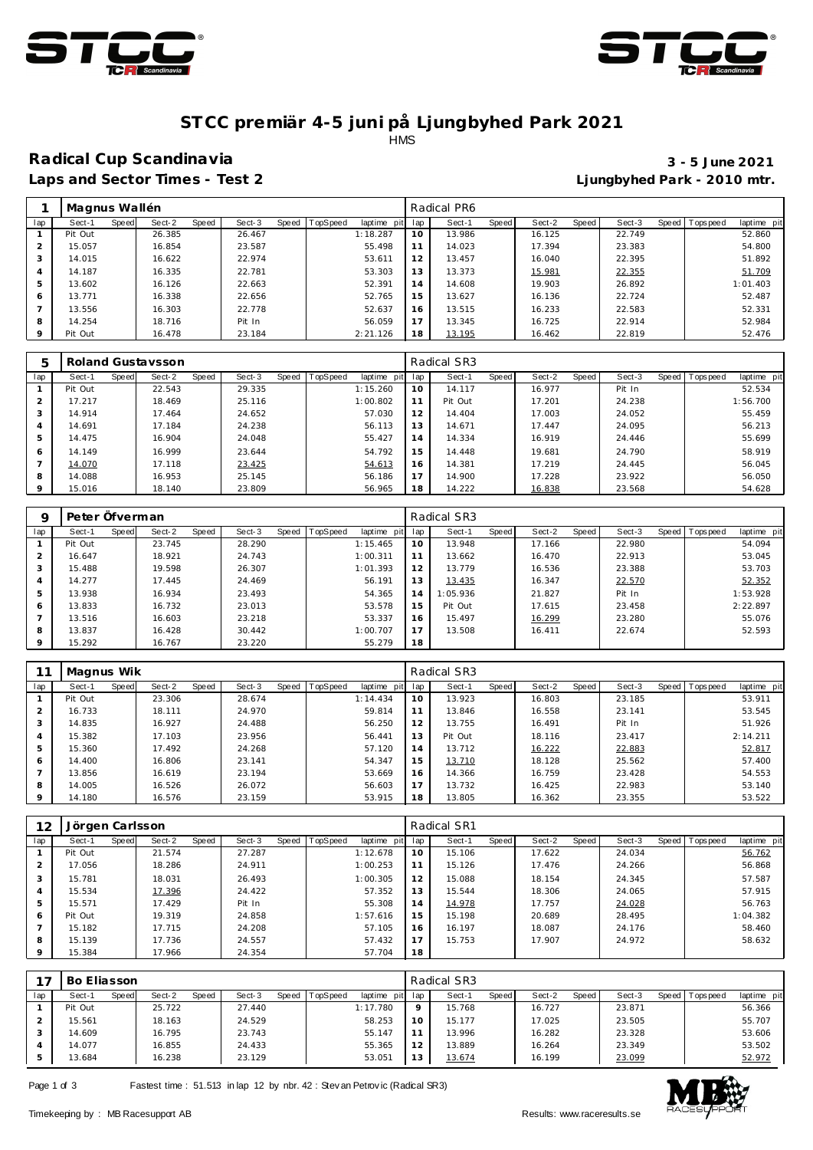



#### **ST CC premiär 4-5 juni på Ljungbyhed Park 2021** HMS

# **Radical Cup Scandinavia 3 - 5 June 2021**

**Laps and Sector Times - Test 2 Ljungbyhed Park - 2010 mtr.**

|         | Magnus Wallén |       |        |       |        |       |          |             |     | Radical PR6 |       |        |       |        |                |             |
|---------|---------------|-------|--------|-------|--------|-------|----------|-------------|-----|-------------|-------|--------|-------|--------|----------------|-------------|
| lap     | Sect-1        | Speed | Sect-2 | Speed | Sect-3 | Speed | TopSpeed | laptime pit | lap | Sect-1      | Speed | Sect-2 | Speed | Sect-3 | Speed Topspeed | laptime pit |
|         | Pit Out       |       | 26.385 |       | 26.467 |       |          | 1:18.287    | 10  | 13.986      |       | 16.125 |       | 22.749 |                | 52.860      |
| 2       | 15.057        |       | 16.854 |       | 23.587 |       |          | 55.498      | 11  | 14.023      |       | 17.394 |       | 23.383 |                | 54.800      |
| 3       | 14.015        |       | 16.622 |       | 22.974 |       |          | 53.611      | 12  | 13.457      |       | 16.040 |       | 22.395 |                | 51.892      |
| 4       | 14.187        |       | 16.335 |       | 22.781 |       |          | 53.303      | 13  | 13.373      |       | 15.981 |       | 22.355 |                | 51.709      |
| 5       | 13.602        |       | 16.126 |       | 22.663 |       |          | 52.391      | 14  | 14.608      |       | 19.903 |       | 26.892 |                | 1:01.403    |
| 6       | 13.771        |       | 16.338 |       | 22.656 |       |          | 52.765      | 15  | 13.627      |       | 16.136 |       | 22.724 |                | 52.487      |
|         | 13.556        |       | 16.303 |       | 22.778 |       |          | 52.637      | 16  | 13.515      |       | 16.233 |       | 22.583 |                | 52.331      |
| 8       | 14.254        |       | 18.716 |       | Pit In |       |          | 56.059      |     | 13.345      |       | 16.725 |       | 22.914 |                | 52.984      |
| $\circ$ | Pit Out       |       | 16.478 |       | 23.184 |       |          | 2:21.126    | 18  | 13.195      |       | 16.462 |       | 22.819 |                | 52.476      |

| 5       |         |              | Roland Gustaysson |       |        |       |                 |             |     | Radical SR3 |       |        |       |        |                  |             |
|---------|---------|--------------|-------------------|-------|--------|-------|-----------------|-------------|-----|-------------|-------|--------|-------|--------|------------------|-------------|
| lap     | Sect-1  | <b>Speed</b> | Sect-2            | Speed | Sect-3 | Speed | <b>TopSpeed</b> | laptime pit | lap | Sect-1      | Speed | Sect-2 | Speed | Sect-3 | Speed   Topspeed | laptime pit |
|         | Pit Out |              | 22.543            |       | 29.335 |       |                 | 1:15.260    | 10  | 14.117      |       | 16.977 |       | Pit In |                  | 52.534      |
|         | 17.217  |              | 18.469            |       | 25.116 |       |                 | 1:00.802    | 11  | Pit Out     |       | 17.201 |       | 24.238 |                  | 1:56.700    |
|         | 14.914  |              | 17.464            |       | 24.652 |       |                 | 57.030      | 12  | 14.404      |       | 17.003 |       | 24.052 |                  | 55.459      |
|         | 14.691  |              | 17.184            |       | 24.238 |       |                 | 56.113      | 13  | 14.671      |       | 17.447 |       | 24.095 |                  | 56.213      |
|         | 14.475  |              | 16.904            |       | 24.048 |       |                 | 55.427      | 14  | 14.334      |       | 16.919 |       | 24.446 |                  | 55.699      |
| 6       | 14.149  |              | 16.999            |       | 23.644 |       |                 | 54.792      | 15  | 14.448      |       | 19.681 |       | 24.790 |                  | 58.919      |
|         | 14.070  |              | 17.118            |       | 23.425 |       |                 | 54.613      | 16  | 14.381      |       | 17.219 |       | 24.445 |                  | 56.045      |
| 8       | 14.088  |              | 16.953            |       | 25.145 |       |                 | 56.186      | 17  | 14.900      |       | 17.228 |       | 23.922 |                  | 56.050      |
| $\circ$ | 15.016  |              | 18.140            |       | 23.809 |       |                 | 56.965      | 18  | 14.222      |       | 16.838 |       | 23.568 |                  | 54.628      |

|     | Peter Öfverman |       |        |       |        |       |                 |             |     | Radical SR3 |       |        |       |        |                 |             |
|-----|----------------|-------|--------|-------|--------|-------|-----------------|-------------|-----|-------------|-------|--------|-------|--------|-----------------|-------------|
| lap | Sect-1         | Speed | Sect-2 | Speed | Sect-3 | Speed | <b>TopSpeed</b> | laptime pit | lap | Sect-1      | Speed | Sect-2 | Speed | Sect-3 | Speed Tops peed | laptime pit |
|     | Pit Out        |       | 23.745 |       | 28.290 |       |                 | 1:15.465    | 10  | 13.948      |       | 17.166 |       | 22.980 |                 | 54.094      |
|     | 16.647         |       | 18.921 |       | 24.743 |       |                 | 1:00.311    | 11  | 13.662      |       | 16.470 |       | 22.913 |                 | 53.045      |
| 3   | 15.488         |       | 19.598 |       | 26.307 |       |                 | 1:01.393    | 12  | 13.779      |       | 16.536 |       | 23.388 |                 | 53.703      |
| 4   | 14.277         |       | 17.445 |       | 24.469 |       |                 | 56.191      | 13  | 13.435      |       | 16.347 |       | 22.570 |                 | 52.352      |
| 5   | 13.938         |       | 16.934 |       | 23.493 |       |                 | 54.365      | 14  | 1:05.936    |       | 21.827 |       | Pit In |                 | 1:53.928    |
| 6   | 13.833         |       | 16.732 |       | 23.013 |       |                 | 53.578      | 15  | Pit Out     |       | 17.615 |       | 23.458 |                 | 2:22.897    |
|     | 13.516         |       | 16.603 |       | 23.218 |       |                 | 53.337      | 16  | 15.497      |       | 16.299 |       | 23.280 |                 | 55.076      |
| 8   | 13.837         |       | 16.428 |       | 30.442 |       |                 | 1:00.707    | 17  | 13.508      |       | 16.411 |       | 22.674 |                 | 52.593      |
| 9   | 15.292         |       | 16.767 |       | 23.220 |       |                 | 55.279      | 18  |             |       |        |       |        |                 |             |

|                | Magnus Wik |       |        |       |        |       |          |                |              | Radical SR3 |       |        |       |        |       |            |             |
|----------------|------------|-------|--------|-------|--------|-------|----------|----------------|--------------|-------------|-------|--------|-------|--------|-------|------------|-------------|
| lap            | Sect-1     | Speed | Sect-2 | Speed | Sect-3 | Speed | TopSpeed | laptime<br>pit | lap          | Sect-1      | Speed | Sect-2 | Speed | Sect-3 | Speed | Tops pee d | laptime pit |
|                | Pit Out    |       | 23.306 |       | 28.674 |       |          | 1:14.434       | 10           | 13.923      |       | 16.803 |       | 23.185 |       |            | 53.911      |
| 2              | 16.733     |       | 18.111 |       | 24.970 |       |          | 59.814         | $\mathbf{A}$ | 13.846      |       | 16.558 |       | 23.141 |       |            | 53.545      |
| 3              | 14.835     |       | 16.927 |       | 24.488 |       |          | 56.250         | 12           | 13.755      |       | 16.491 |       | Pit In |       |            | 51.926      |
| $\overline{A}$ | 15.382     |       | 17.103 |       | 23.956 |       |          | 56.441         | 13           | Pit Out     |       | 18.116 |       | 23.417 |       |            | 2:14.211    |
| 5              | 15.360     |       | 17.492 |       | 24.268 |       |          | 57.120         | 14           | 13.712      |       | 16.222 |       | 22.883 |       |            | 52.817      |
| 6              | 14.400     |       | 16.806 |       | 23.141 |       |          | 54.347         | 15           | 13.710      |       | 18.128 |       | 25.562 |       |            | 57.400      |
|                | 13.856     |       | 16.619 |       | 23.194 |       |          | 53.669         | 16           | 14.366      |       | 16.759 |       | 23.428 |       |            | 54.553      |
| 8              | 14.005     |       | 16.526 |       | 26.072 |       |          | 56.603         | 17           | 13.732      |       | 16.425 |       | 22.983 |       |            | 53.140      |
| $\mathsf Q$    | 14.180     |       | 16.576 |       | 23.159 |       |          | 53.915         | 18           | 13.805      |       | 16.362 |       | 23.355 |       |            | 53.522      |

| 12  | Jörgen Carlsson |       |        |       |        |       |          |                 |    | Radical SR1 |       |        |       |        |                |             |
|-----|-----------------|-------|--------|-------|--------|-------|----------|-----------------|----|-------------|-------|--------|-------|--------|----------------|-------------|
| lap | Sect-1          | Speed | Sect-2 | Speed | Sect-3 | Speed | TopSpeed | laptime pit lap |    | Sect-1      | Speed | Sect-2 | Speed | Sect-3 | Speed Topspeed | laptime pit |
|     | Pit Out         |       | 21.574 |       | 27.287 |       |          | 1:12.678        | 10 | 15.106      |       | 17.622 |       | 24.034 | 56.762         |             |
|     | 17.056          |       | 18.286 |       | 24.911 |       |          | 1:00.253        | 11 | 15.126      |       | 17.476 |       | 24.266 | 56.868         |             |
|     | 15.781          |       | 18.031 |       | 26.493 |       |          | 1:00.305        | 12 | 15.088      |       | 18.154 |       | 24.345 | 57.587         |             |
|     | 15.534          |       | 17.396 |       | 24.422 |       |          | 57.352          | 13 | 15.544      |       | 18.306 |       | 24.065 | 57.915         |             |
|     | 15.571          |       | 17.429 |       | Pit In |       |          | 55.308          | 14 | 14.978      |       | 17.757 |       | 24.028 | 56.763         |             |
| 6   | Pit Out         |       | 19.319 |       | 24.858 |       |          | 1:57.616        | 15 | 15.198      |       | 20.689 |       | 28.495 | 1:04.382       |             |
|     | 15.182          |       | 17.715 |       | 24.208 |       |          | 57.105          | 16 | 16.197      |       | 18.087 |       | 24.176 | 58.460         |             |
| 8   | 15.139          |       | 17.736 |       | 24.557 |       |          | 57.432          | 17 | 15.753      |       | 17.907 |       | 24.972 | 58.632         |             |
|     | 15.384          |       | 17.966 |       | 24.354 |       |          | 57.704          | 18 |             |       |        |       |        |                |             |

|     | Bo Eliasson |       |        |       |        |       |                 |             |     | Radical SR3 |       |        |       |        |       |                  |             |
|-----|-------------|-------|--------|-------|--------|-------|-----------------|-------------|-----|-------------|-------|--------|-------|--------|-------|------------------|-------------|
| lap | Sect-1      | Speed | Sect-2 | Speed | Sect-3 | Speed | <b>TopSpeed</b> | laptime pit | lap | Sect-1      | Speed | Sect-2 | Speed | Sect-3 | Speed | <b>Tops peed</b> | laptime pit |
|     | Pit Out     |       | 25.722 |       | 27.440 |       |                 | 1:17.780    |     | 15.768      |       | 16.727 |       | 23.871 |       |                  | 56.366      |
|     | 15.561      |       | 18.163 |       | 24.529 |       |                 | 58.253      |     | 15.177      |       | 17.025 |       | 23.505 |       |                  | 55.707      |
|     | 14.609      |       | 16.795 |       | 23.743 |       |                 | 55.147      |     | 13.996      |       | 16.282 |       | 23.328 |       |                  | 53.606      |
|     | 14.077      |       | 16.855 |       | 24.433 |       |                 | 55.365      | 12  | 13.889      |       | 16.264 |       | 23.349 |       |                  | 53.502      |
|     | 13.684      |       | 16.238 |       | 23.129 |       |                 | 53.051      | 13  | 13.674      |       | 16.199 |       | 23.099 |       |                  | 52.972      |

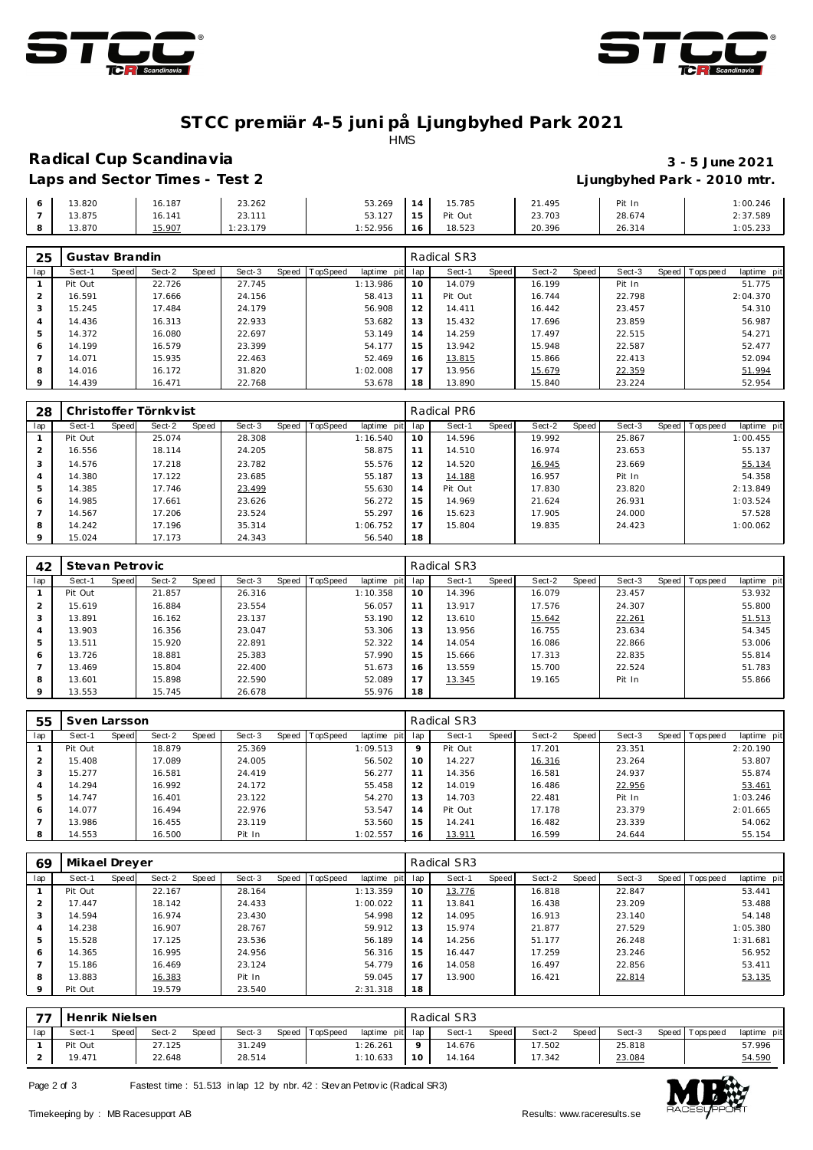



#### **ST CC premiär 4-5 juni på Ljungbyhed Park 2021** HMS

### **Radical Cup Scandinavia 3 - 5 June 2021**

# **Laps and Sector Times - Test 2 Ljungbyhed Park - 2010 mtr.**

|        |        |          |         |         |         |        | ___    |          |
|--------|--------|----------|---------|---------|---------|--------|--------|----------|
| 3.820  | 16.187 | 23.262   | 53.269  |         | 15.785  | 21.495 | Pit In | 1:00.246 |
| 13.875 | 16.141 | 23.111   | 53.127  | .       | Pit Out | 23.703 | 28.674 | 2:37.589 |
| 3.870  | 15.907 | : 23.179 | :52.956 | $\circ$ | 18.523  | 20.396 | 26.314 | 1:05.233 |

| 25      | Gustav Brandin |       |        |       |        |       |          |          |         | Radical SR3 |       |        |       |        |                |             |
|---------|----------------|-------|--------|-------|--------|-------|----------|----------|---------|-------------|-------|--------|-------|--------|----------------|-------------|
| lap     | Sect-1         | Speed | Sect-2 | Speed | Sect-3 | Speed | TopSpeed | laptime  | pit lap | Sect-1      | Speed | Sect-2 | Speed | Sect-3 | Speed Topspeed | laptime pit |
|         | Pit Out        |       | 22.726 |       | 27.745 |       |          | 1:13.986 | 10      | 14.079      |       | 16.199 |       | Pit In |                | 51.775      |
|         | 16.591         |       | 17.666 |       | 24.156 |       |          | 58.413   | 11      | Pit Out     |       | 16.744 |       | 22.798 |                | 2:04.370    |
|         | 15.245         |       | 17.484 |       | 24.179 |       |          | 56.908   | 12      | 14.411      |       | 16.442 |       | 23.457 |                | 54.310      |
|         | 14.436         |       | 16.313 |       | 22.933 |       |          | 53.682   | 13      | 15.432      |       | 17.696 |       | 23.859 |                | 56.987      |
|         | 14.372         |       | 16.080 |       | 22.697 |       |          | 53.149   | 14      | 14.259      |       | 17.497 |       | 22.515 |                | 54.271      |
| 6       | 14.199         |       | 16.579 |       | 23.399 |       |          | 54.177   | 15      | 13.942      |       | 15.948 |       | 22.587 |                | 52.477      |
|         | 14.071         |       | 15.935 |       | 22.463 |       |          | 52.469   | 16      | 13.815      |       | 15.866 |       | 22.413 |                | 52.094      |
| 8       | 14.016         |       | 16.172 |       | 31.820 |       |          | 1:02.008 | 17      | 13.956      |       | 15.679 |       | 22.359 |                | 51.994      |
| $\circ$ | 14.439         |       | 16.471 |       | 22.768 |       |          | 53.678   | 18      | 13.890      |       | 15.840 |       | 23.224 |                | 52.954      |

| 28       |         |       | Christoffer Törnkvist |       |        |       |          |             |     | Radical PR6 |       |        |       |        |       |            |             |
|----------|---------|-------|-----------------------|-------|--------|-------|----------|-------------|-----|-------------|-------|--------|-------|--------|-------|------------|-------------|
| lap      | Sect-1  | Speed | Sect-2                | Speed | Sect-3 | Speed | TopSpeed | laptime pit | lap | Sect-1      | Speed | Sect-2 | Speed | Sect-3 | Speed | T ops peed | laptime pit |
|          | Pit Out |       | 25.074                |       | 28.308 |       |          | 1:16.540    | 10  | 14.596      |       | 19.992 |       | 25.867 |       |            | 1:00.455    |
| 2        | 16.556  |       | 18.114                |       | 24.205 |       |          | 58.875      | 11  | 14.510      |       | 16.974 |       | 23.653 |       |            | 55.137      |
| 3        | 14.576  |       | 17.218                |       | 23.782 |       |          | 55.576      | 12  | 14.520      |       | 16.945 |       | 23.669 |       |            | 55.134      |
| 4        | 14.380  |       | 17.122                |       | 23.685 |       |          | 55.187      | 13  | 14.188      |       | 16.957 |       | Pit In |       |            | 54.358      |
| 5        | 14.385  |       | 17.746                |       | 23.499 |       |          | 55.630      | 14  | Pit Out     |       | 17.830 |       | 23.820 |       |            | 2:13.849    |
| 6        | 14.985  |       | 17.661                |       | 23.626 |       |          | 56.272      | 15  | 14.969      |       | 21.624 |       | 26.931 |       |            | 1:03.524    |
|          | 14.567  |       | 17.206                |       | 23.524 |       |          | 55.297      | 16  | 15.623      |       | 17.905 |       | 24.000 |       |            | 57.528      |
| 8        | 14.242  |       | 17.196                |       | 35.314 |       |          | 1:06.752    | 17  | 15.804      |       | 19.835 |       | 24.423 |       |            | 1:00.062    |
| $\Omega$ | 15.024  |       | 17.173                |       | 24.343 |       |          | 56.540      | 18  |             |       |        |       |        |       |            |             |

| 42            | Stevan Petrovic |       |        |       |        |                |             |     | Radical SR3 |       |        |       |        |                |             |
|---------------|-----------------|-------|--------|-------|--------|----------------|-------------|-----|-------------|-------|--------|-------|--------|----------------|-------------|
| lap           | Sect-1          | Speed | Sect-2 | Speed | Sect-3 | Speed TopSpeed | laptime pit | lap | Sect-1      | Speed | Sect-2 | Speed | Sect-3 | Speed Topspeed | laptime pit |
|               | Pit Out         |       | 21.857 |       | 26.316 |                | 1:10.358    | 10  | 14.396      |       | 16.079 |       | 23.457 |                | 53.932      |
| $\mathcal{P}$ | 15.619          |       | 16.884 |       | 23.554 |                | 56.057      | 11  | 13.917      |       | 17.576 |       | 24.307 |                | 55.800      |
| 3             | 13.891          |       | 16.162 |       | 23.137 |                | 53.190      | 12  | 13.610      |       | 15.642 |       | 22.261 |                | 51.513      |
| 4             | 13.903          |       | 16.356 |       | 23.047 |                | 53.306      | 13  | 13.956      |       | 16.755 |       | 23.634 |                | 54.345      |
| 5             | 13.511          |       | 15.920 |       | 22.891 |                | 52.322      | 14  | 14.054      |       | 16.086 |       | 22.866 |                | 53.006      |
| 6             | 13.726          |       | 18.881 |       | 25.383 |                | 57.990      | 15  | 15.666      |       | 17.313 |       | 22.835 |                | 55.814      |
|               | 13.469          |       | 15.804 |       | 22.400 |                | 51.673      | 16  | 13.559      |       | 15.700 |       | 22.524 |                | 51.783      |
| 8             | 13.601          |       | 15.898 |       | 22.590 |                | 52.089      | 17  | 13.345      |       | 19.165 |       | Pit In |                | 55.866      |
| $\circ$       | 13.553          |       | 15.745 |       | 26.678 |                | 55.976      | 18  |             |       |        |       |        |                |             |

| 55  | Sven Larsson |       |        |       |        |       |          |                 |         | Radical SR3 |       |        |              |        |                   |             |
|-----|--------------|-------|--------|-------|--------|-------|----------|-----------------|---------|-------------|-------|--------|--------------|--------|-------------------|-------------|
| lap | Sect-1       | Speed | Sect-2 | Speed | Sect-3 | Speed | TopSpeed | laptime pit lap |         | Sect-1      | Speed | Sect-2 | <b>Speed</b> | Sect-3 | Speed   Tops peed | laptime pit |
|     | Pit Out      |       | 18.879 |       | 25.369 |       |          | 1:09.513        | $\circ$ | Pit Out     |       | 17.201 |              | 23.351 |                   | 2:20.190    |
|     | 15.408       |       | 17.089 |       | 24.005 |       |          | 56.502          | 10      | 14.227      |       | 16.316 |              | 23.264 |                   | 53.807      |
|     | 15.277       |       | 16.581 |       | 24.419 |       |          | 56.277          |         | 14.356      |       | 16.581 |              | 24.937 |                   | 55.874      |
|     | 14.294       |       | 16.992 |       | 24.172 |       |          | 55.458          | 12      | 14.019      |       | 16.486 |              | 22.956 |                   | 53.461      |
|     | 14.747       |       | 16.401 |       | 23.122 |       |          | 54.270          | 13      | 14.703      |       | 22.481 |              | Pit In |                   | 1:03.246    |
| 6   | 14.077       |       | 16.494 |       | 22.976 |       |          | 53.547          | 14      | Pit Out     |       | 17.178 |              | 23.379 |                   | 2:01.665    |
|     | 13.986       |       | 16.455 |       | 23.119 |       |          | 53.560          | 15      | 14.241      |       | 16.482 |              | 23.339 |                   | 54.062      |
| 8   | 14.553       |       | 16.500 |       | Pit In |       |          | 1:02.557        | 16      | 13.911      |       | 16.599 |              | 24.644 |                   | 55.154      |

| 69             | Mikael Dreyer |       |        |       |        |       |                 |          |         | Radical SR3 |       |        |       |        |                   |             |
|----------------|---------------|-------|--------|-------|--------|-------|-----------------|----------|---------|-------------|-------|--------|-------|--------|-------------------|-------------|
| lap            | Sect-1        | Speed | Sect-2 | Speed | Sect-3 | Speed | <b>TopSpeed</b> | laptime  | pit lap | Sect-1      | Speed | Sect-2 | Speed | Sect-3 | Speed   Tops peed | laptime pit |
|                | Pit Out       |       | 22.167 |       | 28.164 |       |                 | 1:13.359 | 10      | 13.776      |       | 16.818 |       | 22.847 |                   | 53.441      |
|                | 17.447        |       | 18.142 |       | 24.433 |       |                 | 1:00.022 | 11      | 13.841      |       | 16.438 |       | 23.209 |                   | 53.488      |
| 3              | 14.594        |       | 16.974 |       | 23.430 |       |                 | 54.998   | 12      | 14.095      |       | 16.913 |       | 23.140 |                   | 54.148      |
| $\overline{A}$ | 14.238        |       | 16.907 |       | 28.767 |       |                 | 59.912   | 13      | 15.974      |       | 21.877 |       | 27.529 |                   | 1:05.380    |
| 5              | 15.528        |       | 17.125 |       | 23.536 |       |                 | 56.189   | 14      | 14.256      |       | 51.177 |       | 26.248 |                   | 1:31.681    |
| 6              | 14.365        |       | 16.995 |       | 24.956 |       |                 | 56.316   | 15      | 16.447      |       | 17.259 |       | 23.246 |                   | 56.952      |
|                | 15.186        |       | 16.469 |       | 23.124 |       |                 | 54.779   | 16      | 14.058      |       | 16.497 |       | 22.856 |                   | 53.411      |
| 8              | 13.883        |       | 16.383 |       | Pit In |       |                 | 59.045   | 17      | 13.900      |       | 16.421 |       | 22.814 |                   | 53.135      |
| $\mathsf Q$    | Pit Out       |       | 19.579 |       | 23.540 |       |                 | 2:31.318 | 18      |             |       |        |       |        |                   |             |

| $\overline{\phantom{a}}$ | Henrik Nielsen |       |        |              |        |  | Radical SR3    |                 |    |        |       |        |       |        |  |                   |             |
|--------------------------|----------------|-------|--------|--------------|--------|--|----------------|-----------------|----|--------|-------|--------|-------|--------|--|-------------------|-------------|
| lap                      | Sect-1         | Speed | Sect-2 | <b>Speed</b> | Sect-3 |  | Speed TopSpeed | laptime pit lap |    | Sect-1 | Speed | Sect-2 | Speed | Sect-3 |  | Speed   Tops peed | laptime pit |
|                          | Pit Out        |       | 27.125 |              | 31.249 |  |                | 1:26.261        |    | 14.676 |       | 17.502 |       | 25.818 |  |                   | 57.996      |
|                          | 19.471         |       | 22.648 |              | 28.514 |  |                | 1:10.633        | 10 | 14.164 |       | 17.342 |       | 23.084 |  |                   | 54.590      |

Page 2 of 3 Fastest time : 51.513 in lap 12 by nbr. 42 : Stev an Petrovic (Radical SR3)